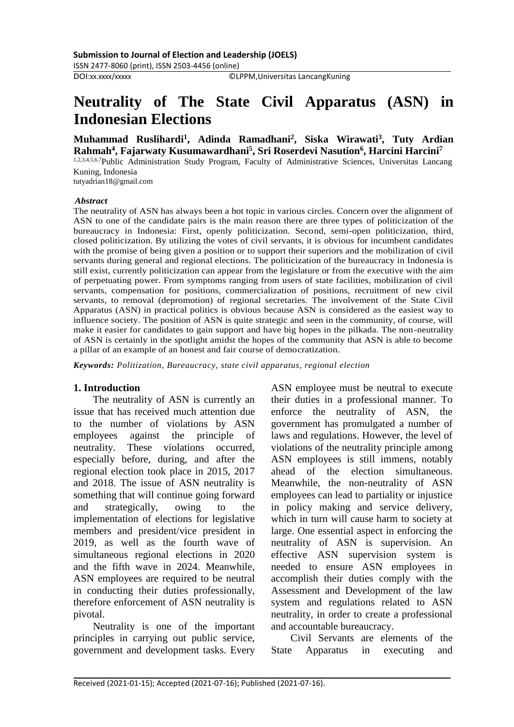©LPPM, Universitas LancangKuning

# **Neutrality of The State Civil Apparatus (ASN) in Indonesian Elections**

**Muhammad Ruslihardi 1 , Adinda Ramadhani 2 , Siska Wirawati 3 , Tuty Ardian Rahmah 4 , Fajarwaty Kusumawardhani 5 , Sri Roserdevi Nasution 6 , Harcini Harcini 7**

1,2,3,4,5,6,7Public Administration Study Program, Faculty of Administrative Sciences, Universitas Lancang Kuning, Indonesia

tutyadrian18@gmail.com

#### *Abstract*

The neutrality of ASN has always been a hot topic in various circles. Concern over the alignment of ASN to one of the candidate pairs is the main reason there are three types of politicization of the bureaucracy in Indonesia: First, openly politicization. Second, semi-open politicization, third, closed politicization. By utilizing the votes of civil servants, it is obvious for incumbent candidates with the promise of being given a position or to support their superiors and the mobilization of civil servants during general and regional elections. The politicization of the bureaucracy in Indonesia is still exist, currently politicization can appear from the legislature or from the executive with the aim of perpetuating power. From symptoms ranging from users of state facilities, mobilization of civil servants, compensation for positions, commercialization of positions, recruitment of new civil servants, to removal (depromotion) of regional secretaries. The involvement of the State Civil Apparatus (ASN) in practical politics is obvious because ASN is considered as the easiest way to influence society. The position of ASN is quite strategic and seen in the community, of course, will make it easier for candidates to gain support and have big hopes in the pilkada. The non-neutrality of ASN is certainly in the spotlight amidst the hopes of the community that ASN is able to become a pillar of an example of an honest and fair course of democratization.

*Keywords: Politization, Bureaucracy, state civil apparatus, regional election*

#### **1. Introduction**

The neutrality of ASN is currently an issue that has received much attention due to the number of violations by ASN employees against the principle of neutrality. These violations occurred, especially before, during, and after the regional election took place in 2015, 2017 and 2018. The issue of ASN neutrality is something that will continue going forward and strategically, owing to the implementation of elections for legislative members and president/vice president in 2019, as well as the fourth wave of simultaneous regional elections in 2020 and the fifth wave in 2024. Meanwhile, ASN employees are required to be neutral in conducting their duties professionally, therefore enforcement of ASN neutrality is pivotal.

Neutrality is one of the important principles in carrying out public service, government and development tasks. Every ASN employee must be neutral to execute their duties in a professional manner. To enforce the neutrality of ASN, the government has promulgated a number of laws and regulations. However, the level of violations of the neutrality principle among ASN employees is still immens, notably ahead of the election simultaneous. Meanwhile, the non-neutrality of ASN employees can lead to partiality or injustice in policy making and service delivery, which in turn will cause harm to society at large. One essential aspect in enforcing the neutrality of ASN is supervision. An effective ASN supervision system is needed to ensure ASN employees in accomplish their duties comply with the Assessment and Development of the law system and regulations related to ASN neutrality, in order to create a professional and accountable bureaucracy.

Civil Servants are elements of the State Apparatus in executing and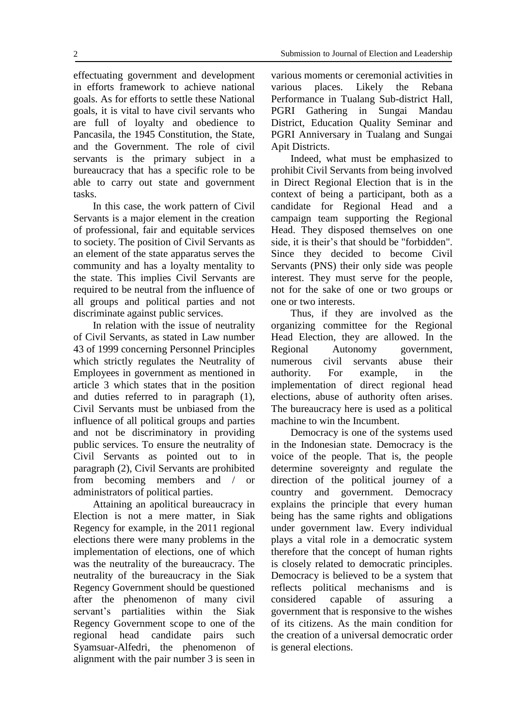effectuating government and development in efforts framework to achieve national goals. As for efforts to settle these National goals, it is vital to have civil servants who are full of loyalty and obedience to Pancasila, the 1945 Constitution, the State, and the Government. The role of civil servants is the primary subject in a bureaucracy that has a specific role to be able to carry out state and government tasks.

In this case, the work pattern of Civil Servants is a major element in the creation of professional, fair and equitable services to society. The position of Civil Servants as an element of the state apparatus serves the community and has a loyalty mentality to the state. This implies Civil Servants are required to be neutral from the influence of all groups and political parties and not discriminate against public services.

In relation with the issue of neutrality of Civil Servants, as stated in Law number 43 of 1999 concerning Personnel Principles which strictly regulates the Neutrality of Employees in government as mentioned in article 3 which states that in the position and duties referred to in paragraph (1), Civil Servants must be unbiased from the influence of all political groups and parties and not be discriminatory in providing public services. To ensure the neutrality of Civil Servants as pointed out to in paragraph (2), Civil Servants are prohibited from becoming members and / or administrators of political parties.

Attaining an apolitical bureaucracy in Election is not a mere matter, in Siak Regency for example, in the 2011 regional elections there were many problems in the implementation of elections, one of which was the neutrality of the bureaucracy. The neutrality of the bureaucracy in the Siak Regency Government should be questioned after the phenomenon of many civil servant's partialities within the Siak Regency Government scope to one of the regional head candidate pairs such Syamsuar-Alfedri, the phenomenon of alignment with the pair number 3 is seen in various moments or ceremonial activities in various places. Likely the Rebana Performance in Tualang Sub-district Hall, PGRI Gathering in Sungai Mandau District, Education Quality Seminar and PGRI Anniversary in Tualang and Sungai Apit Districts.

Indeed, what must be emphasized to prohibit Civil Servants from being involved in Direct Regional Election that is in the context of being a participant, both as a candidate for Regional Head and a campaign team supporting the Regional Head. They disposed themselves on one side, it is their's that should be "forbidden". Since they decided to become Civil Servants (PNS) their only side was people interest. They must serve for the people, not for the sake of one or two groups or one or two interests.

Thus, if they are involved as the organizing committee for the Regional Head Election, they are allowed. In the Regional Autonomy government, numerous civil servants abuse their authority. For example, in the implementation of direct regional head elections, abuse of authority often arises. The bureaucracy here is used as a political machine to win the Incumbent.

Democracy is one of the systems used in the Indonesian state. Democracy is the voice of the people. That is, the people determine sovereignty and regulate the direction of the political journey of a country and government. Democracy explains the principle that every human being has the same rights and obligations under government law. Every individual plays a vital role in a democratic system therefore that the concept of human rights is closely related to democratic principles. Democracy is believed to be a system that reflects political mechanisms and is considered capable of assuring a government that is responsive to the wishes of its citizens. As the main condition for the creation of a universal democratic order is general elections.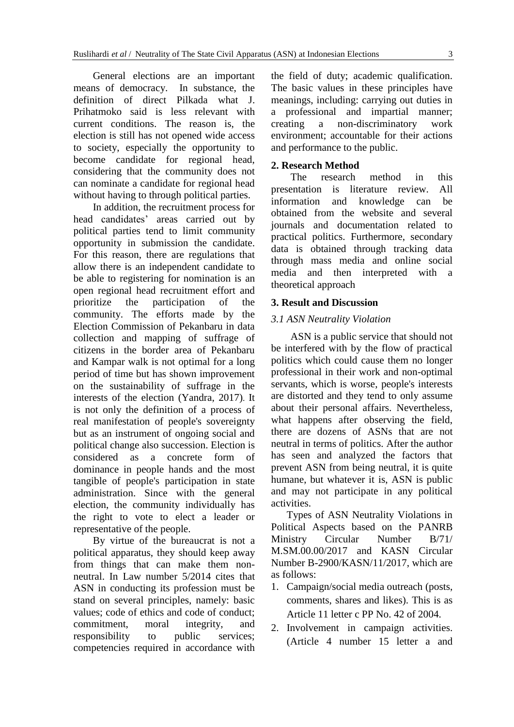General elections are an important means of democracy. In substance, the definition of direct Pilkada what J. Prihatmoko said is less relevant with current conditions. The reason is, the election is still has not opened wide access to society, especially the opportunity to become candidate for regional head, considering that the community does not can nominate a candidate for regional head without having to through political parties.

In addition, the recruitment process for head candidates' areas carried out by political parties tend to limit community opportunity in submission the candidate. For this reason, there are regulations that allow there is an independent candidate to be able to registering for nomination is an open regional head recruitment effort and prioritize the participation of the community. The efforts made by the Election Commission of Pekanbaru in data collection and mapping of suffrage of citizens in the border area of Pekanbaru and Kampar walk is not optimal for a long period of time but has shown improvement on the sustainability of suffrage in the interests of the election (Yandra, 2017). It is not only the definition of a process of real manifestation of people's sovereignty but as an instrument of ongoing social and political change also succession. Election is considered as a concrete form of dominance in people hands and the most tangible of people's participation in state administration. Since with the general election, the community individually has the right to vote to elect a leader or representative of the people.

By virtue of the bureaucrat is not a political apparatus, they should keep away from things that can make them nonneutral. In Law number 5/2014 cites that ASN in conducting its profession must be stand on several principles, namely: basic values; code of ethics and code of conduct; commitment, moral integrity, and responsibility to public services; competencies required in accordance with the field of duty; academic qualification. The basic values in these principles have meanings, including: carrying out duties in a professional and impartial manner; creating a non-discriminatory work environment; accountable for their actions and performance to the public.

#### **2. Research Method**

The research method in this presentation is literature review. All information and knowledge can be obtained from the website and several journals and documentation related to practical politics. Furthermore, secondary data is obtained through tracking data through mass media and online social media and then interpreted with a theoretical approach

#### **3. Result and Discussion**

#### *3.1 ASN Neutrality Violation*

ASN is a public service that should not be interfered with by the flow of practical politics which could cause them no longer professional in their work and non-optimal servants, which is worse, people's interests are distorted and they tend to only assume about their personal affairs. Nevertheless, what happens after observing the field, there are dozens of ASNs that are not neutral in terms of politics. After the author has seen and analyzed the factors that prevent ASN from being neutral, it is quite humane, but whatever it is, ASN is public and may not participate in any political activities.

Types of ASN Neutrality Violations in Political Aspects based on the PANRB Ministry Circular Number B/71/ M.SM.00.00/2017 and KASN Circular Number B-2900/KASN/11/2017, which are as follows:

- 1. Campaign/social media outreach (posts, comments, shares and likes). This is as Article 11 letter c PP No. 42 of 2004.
- 2. Involvement in campaign activities. (Article 4 number 15 letter a and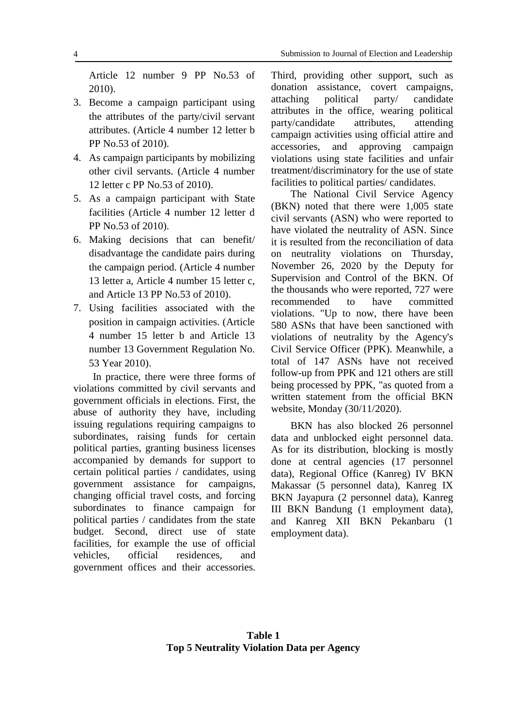Article 12 number 9 PP No.53 of 2010).

- 3. Become a campaign participant using the attributes of the party/civil servant attributes. (Article 4 number 12 letter b PP No.53 of 2010).
- 4. As campaign participants by mobilizing other civil servants. (Article 4 number 12 letter c PP No.53 of 2010).
- 5. As a campaign participant with State facilities (Article 4 number 12 letter d PP No.53 of 2010).
- 6. Making decisions that can benefit/ disadvantage the candidate pairs during the campaign period. (Article 4 number 13 letter a, Article 4 number 15 letter c, and Article 13 PP No.53 of 2010).
- 7. Using facilities associated with the position in campaign activities. (Article 4 number 15 letter b and Article 13 number 13 Government Regulation No. 53 Year 2010).

In practice, there were three forms of violations committed by civil servants and government officials in elections. First, the abuse of authority they have, including issuing regulations requiring campaigns to subordinates, raising funds for certain political parties, granting business licenses accompanied by demands for support to certain political parties / candidates, using government assistance for campaigns, changing official travel costs, and forcing subordinates to finance campaign for political parties / candidates from the state budget. Second, direct use of state facilities, for example the use of official vehicles, official residences, and government offices and their accessories. Third, providing other support, such as donation assistance, covert campaigns, attaching political party/ candidate attributes in the office, wearing political party/candidate attributes, attending campaign activities using official attire and accessories, and approving campaign violations using state facilities and unfair treatment/discriminatory for the use of state facilities to political parties/ candidates.

The National Civil Service Agency (BKN) noted that there were 1,005 state civil servants (ASN) who were reported to have violated the neutrality of ASN. Since it is resulted from the reconciliation of data on neutrality violations on Thursday, November 26, 2020 by the Deputy for Supervision and Control of the BKN. Of the thousands who were reported, 727 were recommended to have committed violations. "Up to now, there have been 580 ASNs that have been sanctioned with violations of neutrality by the Agency's Civil Service Officer (PPK). Meanwhile, a total of 147 ASNs have not received follow-up from PPK and 121 others are still being processed by PPK, "as quoted from a written statement from the official BKN website, Monday (30/11/2020).

BKN has also blocked 26 personnel data and unblocked eight personnel data. As for its distribution, blocking is mostly done at central agencies (17 personnel data), Regional Office (Kanreg) IV BKN Makassar (5 personnel data), Kanreg IX BKN Jayapura (2 personnel data), Kanreg III BKN Bandung (1 employment data), and Kanreg XII BKN Pekanbaru (1 employment data).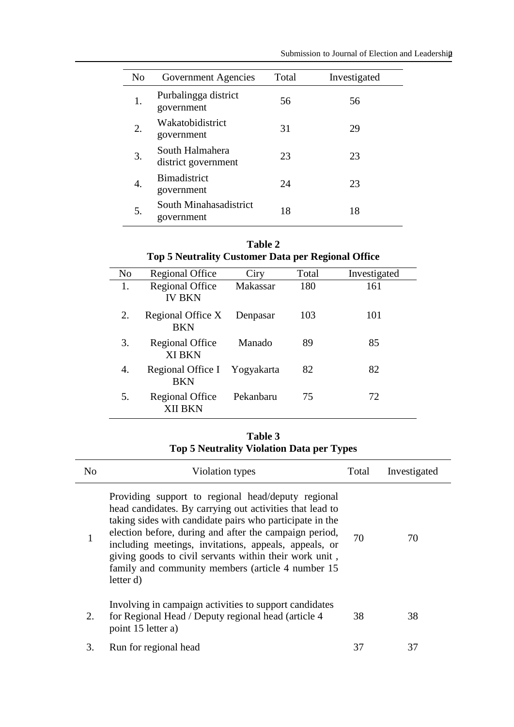| N <sub>0</sub> | Government Agencies                    | Total | Investigated |
|----------------|----------------------------------------|-------|--------------|
| 1.             | Purbalingga district<br>government     | 56    | 56           |
| 2.             | Wakatobidistrict<br>government         | 31    | 29           |
| 3.             | South Halmahera<br>district government | 23    | 23           |
| 4.             | <b>Bimadistrict</b><br>government      | 24    | 23           |
| 5.             | South Minahasadistrict<br>government   | 18    | 18           |

| Table 2                                                   |  |  |
|-----------------------------------------------------------|--|--|
| <b>Top 5 Neutrality Customer Data per Regional Office</b> |  |  |

| No | <b>Regional Office</b>                     | Ciry      | Total | Investigated |
|----|--------------------------------------------|-----------|-------|--------------|
| 1. | <b>Regional Office</b><br><b>IV BKN</b>    | Makassar  | 180   | 161          |
| 2. | Regional Office X<br><b>BKN</b>            | Denpasar  | 103   | 101          |
| 3. | <b>Regional Office</b><br><b>XI BKN</b>    | Manado    | 89    | 85           |
| 4. | Regional Office I Yogyakarta<br><b>BKN</b> |           | 82    | 82           |
| 5. | <b>Regional Office</b><br>XII BKN          | Pekanbaru | 75    | 72           |

**Table 3 Top 5 Neutrality Violation Data per Types**

| No | Violation types                                                                                                                                                                                                                                                                                                                                                                                                            | Total | Investigated |
|----|----------------------------------------------------------------------------------------------------------------------------------------------------------------------------------------------------------------------------------------------------------------------------------------------------------------------------------------------------------------------------------------------------------------------------|-------|--------------|
|    | Providing support to regional head/deputy regional<br>head candidates. By carrying out activities that lead to<br>taking sides with candidate pairs who participate in the<br>election before, during and after the campaign period,<br>including meetings, invitations, appeals, appeals, or<br>giving goods to civil servants within their work unit,<br>family and community members (article 4 number 15)<br>letter d) | 70    | 70           |
| 2. | Involving in campaign activities to support candidates<br>for Regional Head / Deputy regional head (article 4)<br>point 15 letter a)                                                                                                                                                                                                                                                                                       | 38    | 38           |
| 3. | Run for regional head                                                                                                                                                                                                                                                                                                                                                                                                      | 37    | 37           |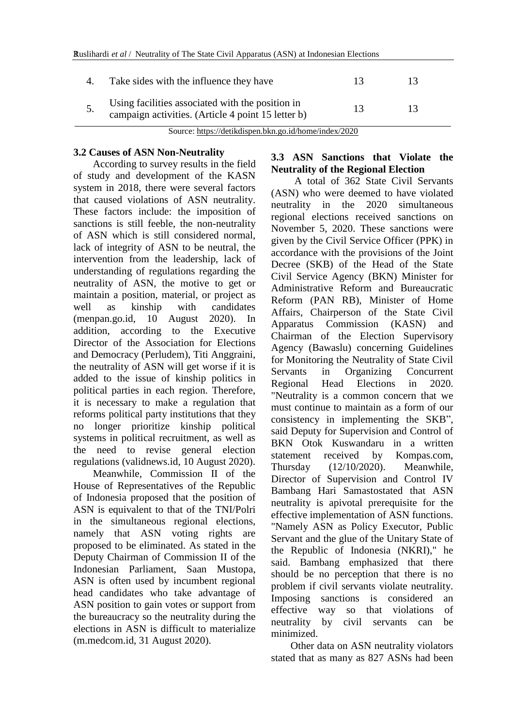| Take sides with the influence they have                                                                | 13 | 13. |  |
|--------------------------------------------------------------------------------------------------------|----|-----|--|
| Using facilities associated with the position in<br>campaign activities. (Article 4 point 15 letter b) | 13 | 13  |  |

Source:<https://detikdispen.bkn.go.id/home/index/2020>

#### **3.2 Causes of ASN Non-Neutrality**

According to survey results in the field of study and development of the KASN system in 2018, there were several factors that caused violations of ASN neutrality. These factors include: the imposition of sanctions is still feeble, the non-neutrality of ASN which is still considered normal, lack of integrity of ASN to be neutral, the intervention from the leadership, lack of understanding of regulations regarding the neutrality of ASN, the motive to get or maintain a position, material, or project as well as kinship with candidates (menpan.go.id, 10 August 2020). In addition, according to the Executive Director of the Association for Elections and Democracy (Perludem), Titi Anggraini, the neutrality of ASN will get worse if it is added to the issue of kinship politics in political parties in each region. Therefore, it is necessary to make a regulation that reforms political party institutions that they no longer prioritize kinship political systems in political recruitment, as well as the need to revise general election regulations (validnews.id, 10 August 2020).

Meanwhile, Commission II of the House of Representatives of the Republic of Indonesia proposed that the position of ASN is equivalent to that of the TNI/Polri in the simultaneous regional elections, namely that ASN voting rights are proposed to be eliminated. As stated in the Deputy Chairman of Commission II of the Indonesian Parliament, Saan Mustopa, ASN is often used by incumbent regional head candidates who take advantage of ASN position to gain votes or support from the bureaucracy so the neutrality during the elections in ASN is difficult to materialize (m.medcom.id, 31 August 2020).

### **3.3 ASN Sanctions that Violate the Neutrality of the Regional Election**

A total of 362 State Civil Servants (ASN) who were deemed to have violated neutrality in the 2020 simultaneous regional elections received sanctions on November 5, 2020. These sanctions were given by the Civil Service Officer (PPK) in accordance with the provisions of the Joint Decree (SKB) of the Head of the State Civil Service Agency (BKN) Minister for Administrative Reform and Bureaucratic Reform (PAN RB), Minister of Home Affairs, Chairperson of the State Civil Apparatus Commission (KASN) and Chairman of the Election Supervisory Agency (Bawaslu) concerning Guidelines for Monitoring the Neutrality of State Civil Servants in Organizing Concurrent Regional Head Elections in 2020. "Neutrality is a common concern that we must continue to maintain as a form of our consistency in implementing the SKB", said Deputy for Supervision and Control of BKN Otok Kuswandaru in a written statement received by Kompas.com, Thursday (12/10/2020). Meanwhile, Director of Supervision and Control IV Bambang Hari Samastostated that ASN neutrality is apivotal prerequisite for the effective implementation of ASN functions. "Namely ASN as Policy Executor, Public Servant and the glue of the Unitary State of the Republic of Indonesia (NKRI)," he said. Bambang emphasized that there should be no perception that there is no problem if civil servants violate neutrality. Imposing sanctions is considered an effective way so that violations of neutrality by civil servants can be minimized.

Other data on ASN neutrality violators stated that as many as 827 ASNs had been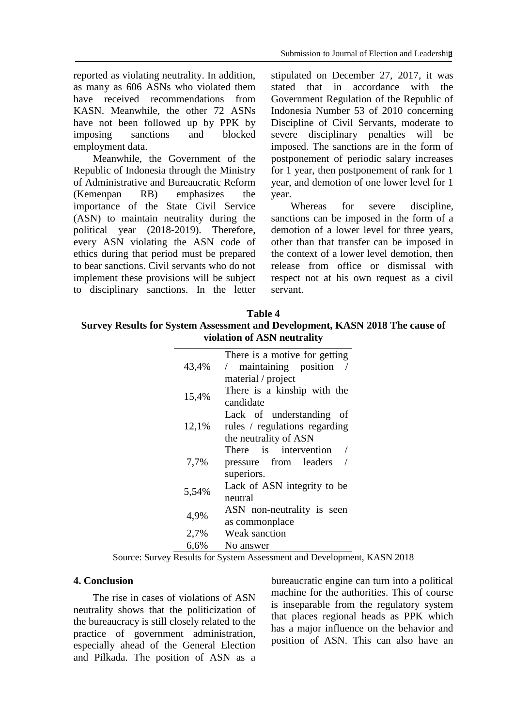reported as violating neutrality. In addition, as many as 606 ASNs who violated them have received recommendations from KASN. Meanwhile, the other 72 ASNs have not been followed up by PPK by imposing sanctions and blocked employment data.

Meanwhile, the Government of the Republic of Indonesia through the Ministry of Administrative and Bureaucratic Reform (Kemenpan RB) emphasizes the importance of the State Civil Service (ASN) to maintain neutrality during the political year (2018-2019). Therefore, every ASN violating the ASN code of ethics during that period must be prepared to bear sanctions. Civil servants who do not implement these provisions will be subject to disciplinary sanctions. In the letter stipulated on December 27, 2017, it was stated that in accordance with the Government Regulation of the Republic of Indonesia Number 53 of 2010 concerning Discipline of Civil Servants, moderate to severe disciplinary penalties will be imposed. The sanctions are in the form of postponement of periodic salary increases for 1 year, then postponement of rank for 1 year, and demotion of one lower level for 1 year.

Whereas for severe discipline, sanctions can be imposed in the form of a demotion of a lower level for three years, other than that transfer can be imposed in the context of a lower level demotion, then release from office or dismissal with respect not at his own request as a civil servant.

## **Table 4**

### **Survey Results for System Assessment and Development, KASN 2018 The cause of violation of ASN neutrality**

|       | There is a motive for getting |  |
|-------|-------------------------------|--|
| 43,4% | / maintaining position        |  |
|       | material / project            |  |
| 15,4% | There is a kinship with the   |  |
|       | candidate                     |  |
|       | Lack of understanding<br>- of |  |
| 12,1% | rules / regulations regarding |  |
|       | the neutrality of ASN         |  |
|       | There is intervention         |  |
| 7,7%  | pressure from leaders         |  |
|       | superiors.                    |  |
| 5,54% | Lack of ASN integrity to be   |  |
|       | neutral                       |  |
| 4,9%  | ASN non-neutrality is seen    |  |
|       | as commonplace                |  |
| 2,7%  | Weak sanction                 |  |
| 6,6%  | No answer                     |  |

Source: Survey Results for System Assessment and Development, KASN 2018

#### **4. Conclusion**

The rise in cases of violations of ASN neutrality shows that the politicization of the bureaucracy is still closely related to the practice of government administration, especially ahead of the General Election and Pilkada. The position of ASN as a bureaucratic engine can turn into a political machine for the authorities. This of course is inseparable from the regulatory system that places regional heads as PPK which has a major influence on the behavior and position of ASN. This can also have an